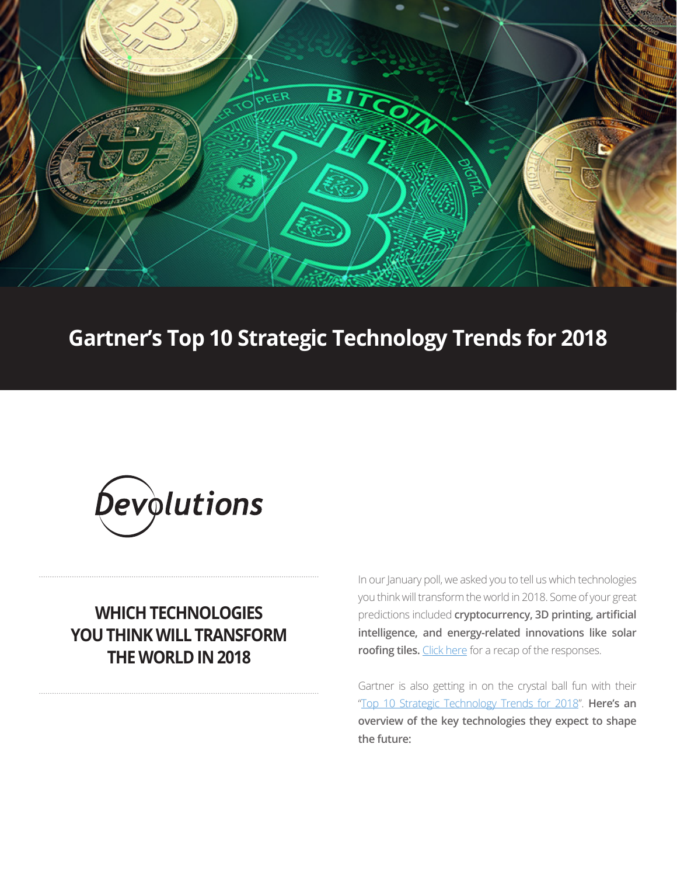

# **Gartner's Top 10 Strategic Technology Trends for 2018**



## **WHICH TECHNOLOGIES YOU THINK WILL TRANSFORM THE WORLD IN 2018**

In our January poll, we asked you to tell us which technologies you think will transform the world in 2018. Some of your great predictions included **cryptocurrency, 3D printing, artificial intelligence, and energy-related innovations like solar roofing tiles.** [Click here](https://blog.devolutions.net/2018/01/january-poll-results-what-technology-will-transform-the-world-in-2018) for a recap of the responses.

Gartner is also getting in on the crystal ball fun with their "[Top 10 Strategic Technology Trends for 2018](https://www.gartner.com/smarterwithgartner/gartner-top-10-strategic-technology-trends-for-2018/)". **Here's an overview of the key technologies they expect to shape the future:**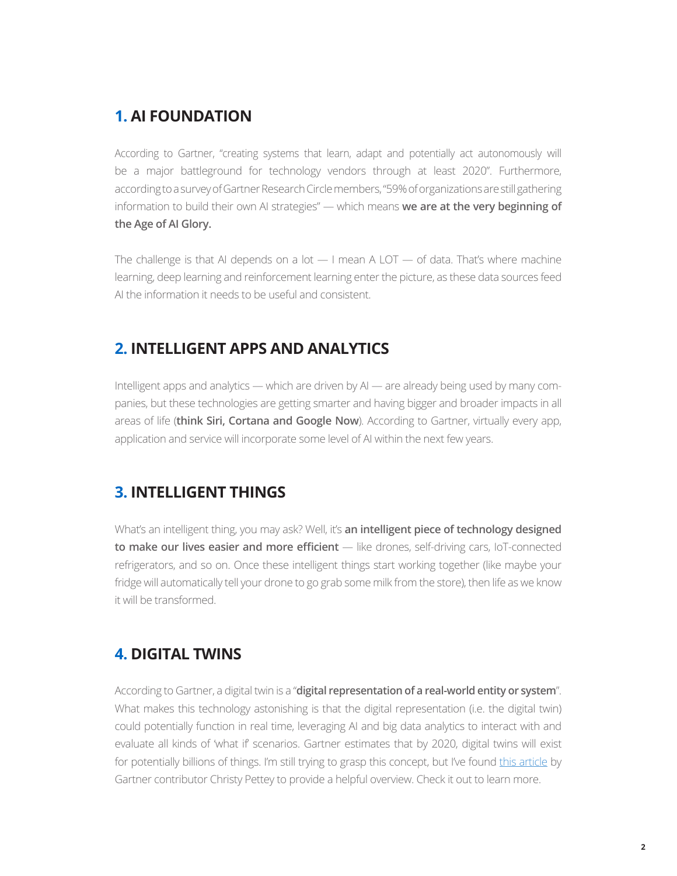#### **1. AI FOUNDATION**

According to Gartner, "creating systems that learn, adapt and potentially act autonomously will be a major battleground for technology vendors through at least 2020". Furthermore, according to a survey of Gartner Research Circle members, "59% of organizations are still gathering information to build their own AI strategies" — which means **we are at the very beginning of the Age of AI Glory.**

The challenge is that AI depends on a lot  $-1$  mean A LOT  $-$  of data. That's where machine learning, deep learning and reinforcement learning enter the picture, as these data sources feed AI the information it needs to be useful and consistent.

#### **2. INTELLIGENT APPS AND ANALYTICS**

Intelligent apps and analytics — which are driven by AI — are already being used by many companies, but these technologies are getting smarter and having bigger and broader impacts in all areas of life (**think Siri, Cortana and Google Now**). According to Gartner, virtually every app, application and service will incorporate some level of AI within the next few years.

#### **3. INTELLIGENT THINGS**

What's an intelligent thing, you may ask? Well, it's an intelligent piece of technology designed **to make our lives easier and more efficient** — like drones, self-driving cars, IoT-connected refrigerators, and so on. Once these intelligent things start working together (like maybe your fridge will automatically tell your drone to go grab some milk from the store), then life as we know it will be transformed.

## **4. DIGITAL TWINS**

According to Gartner, a digital twin is a "**digital representation of a real-world entity or system**". What makes this technology astonishing is that the digital representation (i.e. the digital twin) could potentially function in real time, leveraging AI and big data analytics to interact with and evaluate all kinds of 'what if' scenarios. Gartner estimates that by 2020, digital twins will exist for potentially billions of things. I'm still trying to grasp this concept, but I've found [this article](https://www.gartner.com/smarterwithgartner/prepare-for-the-impact-of-digital-twins/) by Gartner contributor Christy Pettey to provide a helpful overview. Check it out to learn more.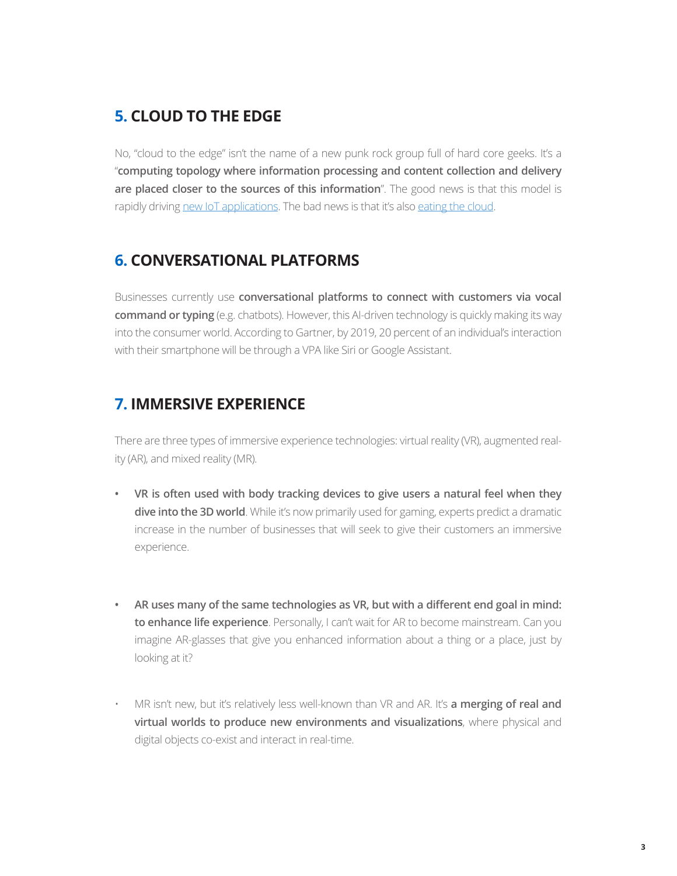### **5. CLOUD TO THE EDGE**

No, "cloud to the edge" isn't the name of a new punk rock group full of hard core geeks. It's a "**computing topology where information processing and content collection and delivery are placed closer to the sources of this information**". The good news is that this model is rapidly driving [new IoT applications.](https://www.gartner.com/smarterwithgartner/what-edge-computing-means-for-infrastructure-and-operations-leaders/) The bad news is that it's also [eating the cloud](https://blogs.gartner.com/thomas_bittman/2017/03/06/the-edge-will-eat-the-cloud/).

#### **6. CONVERSATIONAL PLATFORMS**

Businesses currently use **conversational platforms to connect with customers via vocal command or typing** (e.g. chatbots). However, this AI-driven technology is quickly making its way into the consumer world. According to Gartner, by 2019, 20 percent of an individual's interaction with their smartphone will be through a VPA like Siri or Google Assistant.

#### **7. IMMERSIVE EXPERIENCE**

There are three types of immersive experience technologies: virtual reality (VR), augmented reality (AR), and mixed reality (MR).

- **• VR is often used with body tracking devices to give users a natural feel when they dive into the 3D world**. While it's now primarily used for gaming, experts predict a dramatic increase in the number of businesses that will seek to give their customers an immersive experience.
- **• AR uses many of the same technologies as VR, but with a different end goal in mind: to enhance life experience**. Personally, I can't wait for AR to become mainstream. Can you imagine AR-glasses that give you enhanced information about a thing or a place, just by looking at it?
- MR isn't new, but it's relatively less well-known than VR and AR. It's **a merging of real and virtual worlds to produce new environments and visualizations**, where physical and digital objects co-exist and interact in real-time.